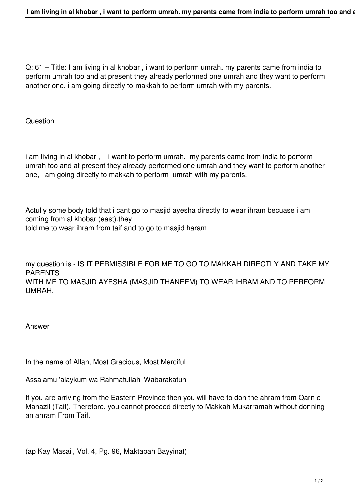Q: 61 – Title: I am living in al khobar , i want to perform umrah. my parents came from india to perform umrah too and at present they already performed one umrah and they want to perform another one, i am going directly to makkah to perform umrah with my parents.

**Question** 

i am living in al khobar, i want to perform umrah. my parents came from india to perform umrah too and at present they already performed one umrah and they want to perform another one, i am going directly to makkah to perform umrah with my parents.

Actully some body told that i cant go to masjid ayesha directly to wear ihram becuase i am coming from al khobar (east).they told me to wear ihram from taif and to go to masjid haram

my question is - IS IT PERMISSIBLE FOR ME TO GO TO MAKKAH DIRECTLY AND TAKE MY PARENTS WITH ME TO MASJID AYESHA (MASJID THANEEM) TO WEAR IHRAM AND TO PERFORM UMRAH.

Answer

In the name of Allah, Most Gracious, Most Merciful

Assalamu 'alaykum wa Rahmatullahi Wabarakatuh

If you are arriving from the Eastern Province then you will have to don the ahram from Qarn e Manazil (Taif). Therefore, you cannot proceed directly to Makkah Mukarramah without donning an ahram From Taif.

(ap Kay Masail, Vol. 4, Pg. 96, Maktabah Bayyinat)